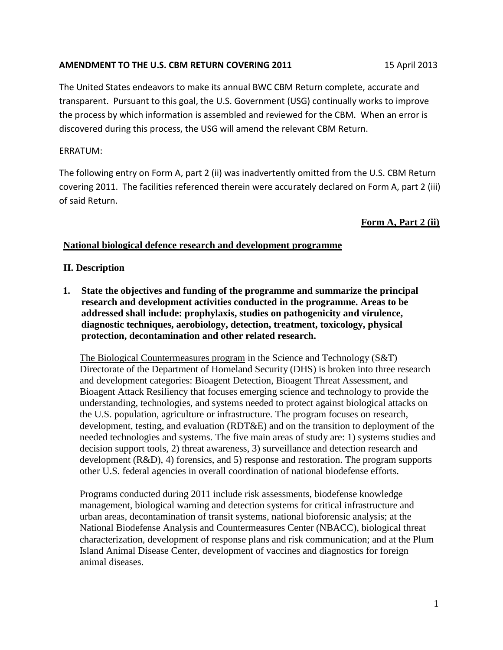## **AMENDMENT TO THE U.S. CBM RETURN COVERING 2011** 15 April 2013

The United States endeavors to make its annual BWC CBM Return complete, accurate and transparent. Pursuant to this goal, the U.S. Government (USG) continually works to improve the process by which information is assembled and reviewed for the CBM. When an error is discovered during this process, the USG will amend the relevant CBM Return.

## ERRATUM:

The following entry on Form A, part 2 (ii) was inadvertently omitted from the U.S. CBM Return covering 2011. The facilities referenced therein were accurately declared on Form A, part 2 (iii) of said Return.

# **Form A, Part 2 (ii)**

## **National biological defence research and development programme**

#### **II. Description**

**1. State the objectives and funding of the programme and summarize the principal research and development activities conducted in the programme. Areas to be addressed shall include: prophylaxis, studies on pathogenicity and virulence, diagnostic techniques, aerobiology, detection, treatment, toxicology, physical protection, decontamination and other related research.**

The Biological Countermeasures program in the Science and Technology (S&T) Directorate of the Department of Homeland Security (DHS) is broken into three research and development categories: Bioagent Detection, Bioagent Threat Assessment, and Bioagent Attack Resiliency that focuses emerging science and technology to provide the understanding, technologies, and systems needed to protect against biological attacks on the U.S. population, agriculture or infrastructure. The program focuses on research, development, testing, and evaluation (RDT&E) and on the transition to deployment of the needed technologies and systems. The five main areas of study are: 1) systems studies and decision support tools, 2) threat awareness, 3) surveillance and detection research and development (R&D), 4) forensics, and 5) response and restoration. The program supports other U.S. federal agencies in overall coordination of national biodefense efforts.

Programs conducted during 2011 include risk assessments, biodefense knowledge management, biological warning and detection systems for critical infrastructure and urban areas, decontamination of transit systems, national bioforensic analysis; at the National Biodefense Analysis and Countermeasures Center (NBACC), biological threat characterization, development of response plans and risk communication; and at the Plum Island Animal Disease Center, development of vaccines and diagnostics for foreign animal diseases.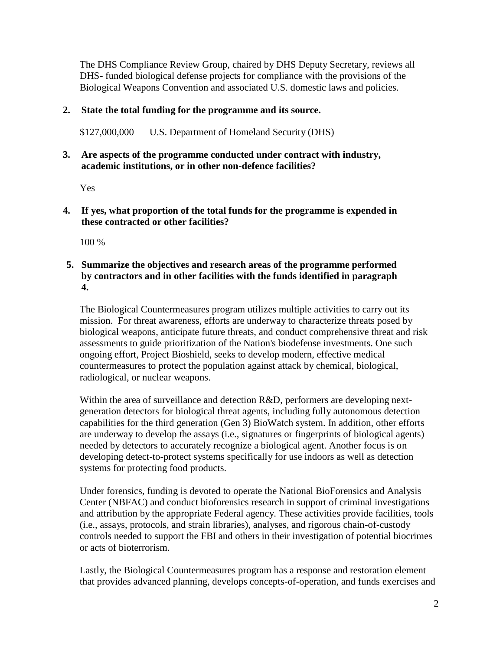The DHS Compliance Review Group, chaired by DHS Deputy Secretary, reviews all DHS- funded biological defense projects for compliance with the provisions of the Biological Weapons Convention and associated U.S. domestic laws and policies.

# **2. State the total funding for the programme and its source.**

\$127,000,000 U.S. Department of Homeland Security (DHS)

## **3. Are aspects of the programme conducted under contract with industry, academic institutions, or in other non-defence facilities?**

Yes

**4. If yes, what proportion of the total funds for the programme is expended in these contracted or other facilities?**

100 %

# **5. Summarize the objectives and research areas of the programme performed by contractors and in other facilities with the funds identified in paragraph 4.**

The Biological Countermeasures program utilizes multiple activities to carry out its mission. For threat awareness, efforts are underway to characterize threats posed by biological weapons, anticipate future threats, and conduct comprehensive threat and risk assessments to guide prioritization of the Nation's biodefense investments. One such ongoing effort, Project Bioshield, seeks to develop modern, effective medical countermeasures to protect the population against attack by chemical, biological, radiological, or nuclear weapons.

Within the area of surveillance and detection R&D, performers are developing nextgeneration detectors for biological threat agents, including fully autonomous detection capabilities for the third generation (Gen 3) BioWatch system. In addition, other efforts are underway to develop the assays (i.e., signatures or fingerprints of biological agents) needed by detectors to accurately recognize a biological agent. Another focus is on developing detect-to-protect systems specifically for use indoors as well as detection systems for protecting food products.

Under forensics, funding is devoted to operate the National BioForensics and Analysis Center (NBFAC) and conduct bioforensics research in support of criminal investigations and attribution by the appropriate Federal agency. These activities provide facilities, tools (i.e., assays, protocols, and strain libraries), analyses, and rigorous chain-of-custody controls needed to support the FBI and others in their investigation of potential biocrimes or acts of bioterrorism.

Lastly, the Biological Countermeasures program has a response and restoration element that provides advanced planning, develops concepts-of-operation, and funds exercises and